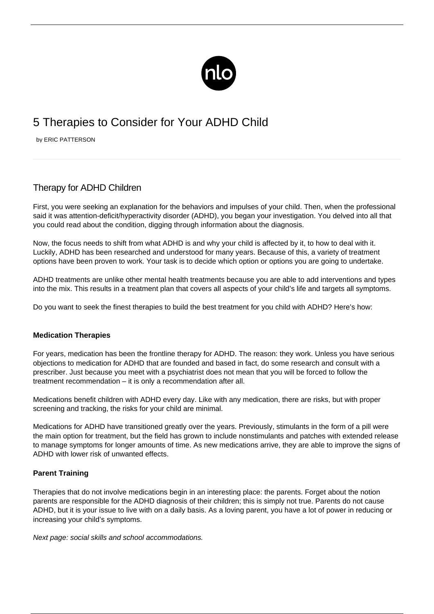

# 5 Therapies to Consider for Your ADHD Child

by ERIC PATTERSON

# Therapy for ADHD Children

First, you were seeking an explanation for the behaviors and impulses of your child. Then, when the professional said it was attention-deficit/hyperactivity disorder (ADHD), you began your investigation. You delved into all that you could read about the condition, digging through information about the diagnosis.

Now, the focus needs to shift from what ADHD is and why your child is affected by it, to how to deal with it. Luckily, ADHD has been researched and understood for many years. Because of this, a variety of treatment options have been proven to work. Your task is to decide which option or options you are going to undertake.

ADHD treatments are unlike other mental health treatments because you are able to add interventions and types into the mix. This results in a treatment plan that covers all aspects of your child's life and targets all symptoms.

Do you want to seek the finest therapies to build the best treatment for you child with ADHD? Here's how:

# **Medication Therapies**

For years, medication has been the frontline therapy for ADHD. The reason: they work. Unless you have serious objections to [medication for ADHD](/non-stimulant-medications-adhd/) that are founded and based in fact, do some research and consult with a prescriber. Just because you meet with a psychiatrist does not mean that you will be forced to follow the treatment recommendation – it is only a recommendation after all.

Medications benefit children with ADHD every day. Like with any medication, there are risks, but with proper screening and tracking, the risks for your child are minimal.

Medications for ADHD have transitioned greatly over the years. Previously, stimulants in the form of a pill were the main option for treatment, but the field has grown to include nonstimulants and patches with extended release to manage symptoms for longer amounts of time. As new medications arrive, they are able to improve the signs of ADHD with lower risk of unwanted effects.

# **Parent Training**

Therapies that do not involve medications begin in an interesting place: the parents. Forget about the notion parents are responsible for the ADHD diagnosis of their children; this is simply not true. Parents do not cause ADHD, but it is your issue to live with on a daily basis. As a loving parent, you have a lot of power in reducing or increasing your child's symptoms.

Next page: social skills and school accommodations.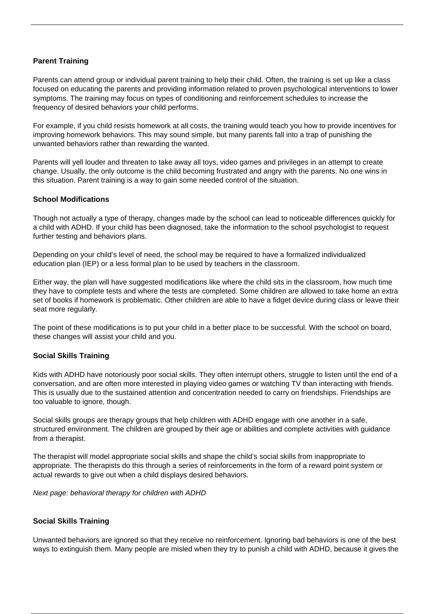### **Parent Training**

Parents can attend group or individual parent training to help their child. Often, the training is set up like a class focused on educating the parents and providing information related to proven psychological interventions to lower symptoms. The training may focus on types of conditioning and reinforcement schedules to increase the frequency of desired behaviors your child performs.

For example, if you child resists homework at all costs, the training would teach you how to provide incentives for improving homework behaviors. This may sound simple, but many parents fall into a trap of punishing the unwanted behaviors rather than rewarding the wanted.

Parents will yell louder and threaten to take away all toys, video games and privileges in an attempt to create change. Usually, the only outcome is the child becoming frustrated and angry with the parents. No one wins in this situation. Parent training is a way to gain some needed control of the situation.

#### **School Modifications**

Though not actually a type of therapy, changes made by the school can lead to noticeable differences quickly for a child with ADHD. If your child has been diagnosed, take the information to the school psychologist to request further testing and behaviors plans.

Depending on your child's level of need, the school may be required to have a formalized individualized education plan (IEP) or a less formal plan to be used by teachers in the classroom.

Either way, the plan will have suggested modifications like where the child sits in the classroom, how much time they have to complete tests and where the tests are completed. Some children are allowed to take home an extra set of books if homework is problematic. Other children are able to have a fidget device during class or leave their seat more regularly.

The point of these modifications is to put your child in a better place to be successful. With the school on board, these changes will assist your child and you.

#### **Social Skills Training**

Kids with ADHD have notoriously poor social skills. They often interrupt others, struggle to listen until the end of a conversation, and are often more interested in playing video games or watching TV than interacting with friends. This is usually due to the sustained attention and concentration needed to carry on friendships. Friendships are too valuable to ignore, though.

Social skills groups are therapy groups that help children with ADHD engage with one another in a safe, structured environment. The children are grouped by their age or abilities and complete activities with guidance from a therapist.

The therapist will model appropriate social skills and shape the child's social skills from inappropriate to appropriate. The therapists do this through a series of reinforcements in the form of a [reward point system](/influence-of-a-reward-system/) or actual rewards to give out when a child displays desired behaviors.

Next page: behavioral therapy for children with ADHD

#### **Social Skills Training**

Unwanted behaviors are ignored so that they receive no reinforcement. Ignoring bad behaviors is one of the best ways to extinguish them. Many people are misled when they try to punish a child with ADHD, because it gives the